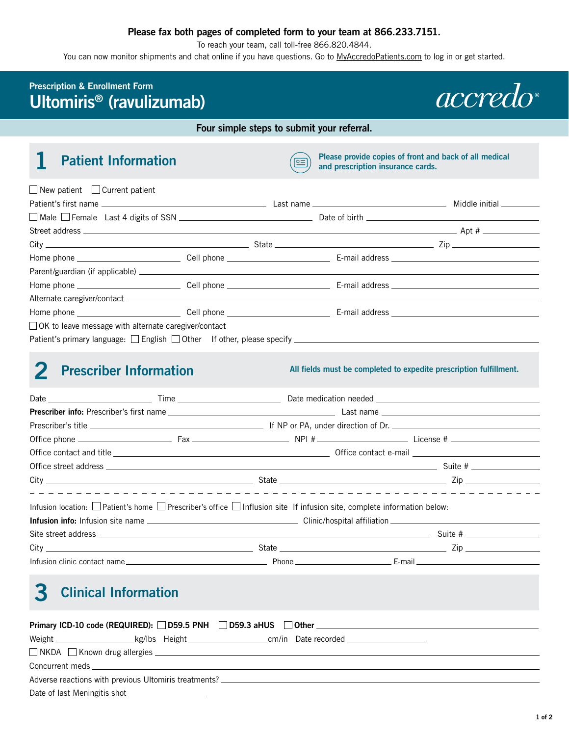## **Please fax both pages of completed form to your team at 866.233.7151.**

To reach your team, call toll-free 866.820.4844.

You can now monitor shipments and chat online if you have questions. Go to [MyAccredoPatients.com](https://MyAccredoPatients.com) to log in or get started.

## **Prescription & Enrollment Form Ultomiris® (ravulizumab)**



**Four simple steps to submit your referral.**

**10 <b>Patient Information Patient Information Please provide copies of front and back of all medical and prescription insurance cards.** 

| $\Box$ New patient $\Box$ Current patient                                                                                                                                                                                                                                                                                                                            |  |  |
|----------------------------------------------------------------------------------------------------------------------------------------------------------------------------------------------------------------------------------------------------------------------------------------------------------------------------------------------------------------------|--|--|
|                                                                                                                                                                                                                                                                                                                                                                      |  |  |
|                                                                                                                                                                                                                                                                                                                                                                      |  |  |
|                                                                                                                                                                                                                                                                                                                                                                      |  |  |
| $\frac{City}{y}$ $\frac{1}{\sqrt{y}}$ $\frac{1}{\sqrt{y}}$ $\frac{1}{\sqrt{y}}$ $\frac{1}{\sqrt{y}}$ $\frac{1}{\sqrt{y}}$ $\frac{1}{\sqrt{y}}$ $\frac{1}{\sqrt{y}}$ $\frac{1}{\sqrt{y}}$ $\frac{1}{\sqrt{y}}$ $\frac{1}{\sqrt{y}}$ $\frac{1}{\sqrt{y}}$ $\frac{1}{\sqrt{y}}$ $\frac{1}{\sqrt{y}}$ $\frac{1}{\sqrt{y}}$ $\frac{1}{\sqrt{y}}$ $\frac{1}{\sqrt{y}}$ $\$ |  |  |
|                                                                                                                                                                                                                                                                                                                                                                      |  |  |
|                                                                                                                                                                                                                                                                                                                                                                      |  |  |
|                                                                                                                                                                                                                                                                                                                                                                      |  |  |
|                                                                                                                                                                                                                                                                                                                                                                      |  |  |
|                                                                                                                                                                                                                                                                                                                                                                      |  |  |
| □ OK to leave message with alternate caregiver/contact                                                                                                                                                                                                                                                                                                               |  |  |
|                                                                                                                                                                                                                                                                                                                                                                      |  |  |

**2 Prescriber Information All fields must be completed to expedite prescription fulfillment.** 

| $City$ $\qquad \qquad \qquad$ State $\qquad \qquad \qquad$ State $\qquad \qquad \qquad$ Zip                                                                                                                                                                                                                                                                                       |  |  |
|-----------------------------------------------------------------------------------------------------------------------------------------------------------------------------------------------------------------------------------------------------------------------------------------------------------------------------------------------------------------------------------|--|--|
| Infusion location: $\Box$ Patient's home $\Box$ Prescriber's office $\Box$ Influsion site If infusion site, complete information below:                                                                                                                                                                                                                                           |  |  |
|                                                                                                                                                                                                                                                                                                                                                                                   |  |  |
|                                                                                                                                                                                                                                                                                                                                                                                   |  |  |
| $City$ $\qquad \qquad \qquad$ State $\qquad \qquad \qquad$ State $\qquad \qquad$ $\qquad \qquad$ $\qquad \qquad$ $\qquad \qquad$ $\qquad \qquad$ $\qquad \qquad$ $\qquad \qquad$ $\qquad \qquad$ $\qquad \qquad$ $\qquad \qquad$ $\qquad \qquad$ $\qquad \qquad$ $\qquad \qquad$ $\qquad$ $\qquad \qquad$ $\qquad$ $\qquad$ $\qquad$ $\qquad$ $\qquad$ $\qquad$ $\qquad$ $\qquad$ |  |  |
|                                                                                                                                                                                                                                                                                                                                                                                   |  |  |
|                                                                                                                                                                                                                                                                                                                                                                                   |  |  |

# **3 Clinical Information**

| Primary ICD-10 code (REQUIRED): D59.5 PNH D59.3 aHUS Other                                                                                                                                                                        |  |  |  |
|-----------------------------------------------------------------------------------------------------------------------------------------------------------------------------------------------------------------------------------|--|--|--|
|                                                                                                                                                                                                                                   |  |  |  |
| □ NKDA □ Known drug allergies <u>■ William Allergies ■ William Allergies</u> ■ NAME All Allergies ■ NAME All Allergies ■ NAME All Allergies ■ NAME All Allergies ■ NAME All Allergies ■ NAME All Allergies ■ NAME All Allergies ■ |  |  |  |
| Concurrent meds and the contract of the contract of the contract of the contract of the contract of the contract of the contract of the contract of the contract of the contract of the contract of the contract of the contra    |  |  |  |
| Adverse reactions with previous Ultomiris treatments? __________________________                                                                                                                                                  |  |  |  |

Date of last Meningitis shot